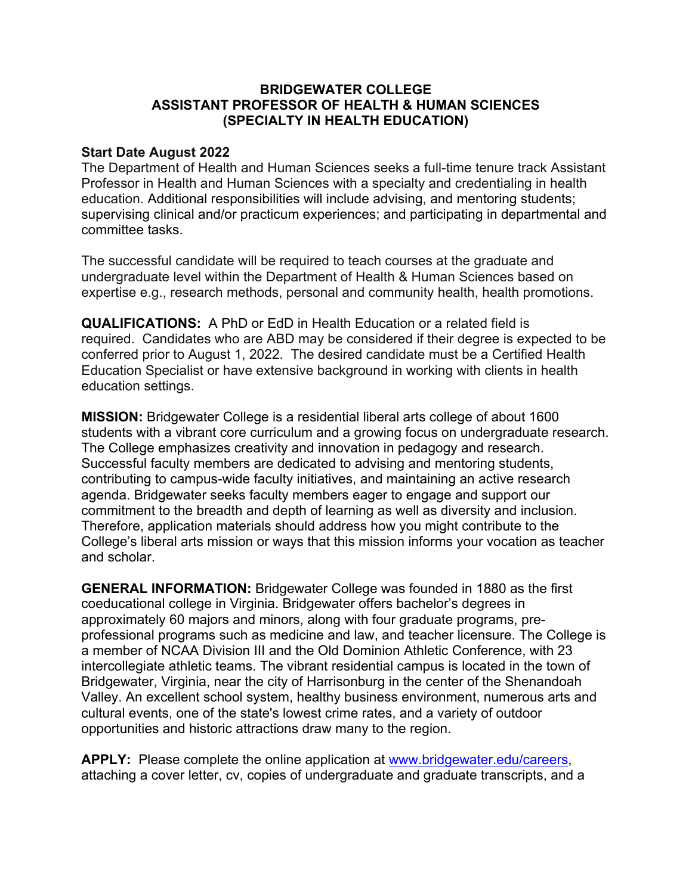## **BRIDGEWATER COLLEGE ASSISTANT PROFESSOR OF HEALTH & HUMAN SCIENCES (SPECIALTY IN HEALTH EDUCATION)**

## **Start Date August 2022**

The Department of Health and Human Sciences seeks a full-time tenure track Assistant Professor in Health and Human Sciences with a specialty and credentialing in health education. Additional responsibilities will include advising, and mentoring students; supervising clinical and/or practicum experiences; and participating in departmental and committee tasks.

The successful candidate will be required to teach courses at the graduate and undergraduate level within the Department of Health & Human Sciences based on expertise e.g., research methods, personal and community health, health promotions.

**QUALIFICATIONS:** A PhD or EdD in Health Education or a related field is required. Candidates who are ABD may be considered if their degree is expected to be conferred prior to August 1, 2022. The desired candidate must be a Certified Health Education Specialist or have extensive background in working with clients in health education settings.

**MISSION:** Bridgewater College is a residential liberal arts college of about 1600 students with a vibrant core curriculum and a growing focus on undergraduate research. The College emphasizes creativity and innovation in pedagogy and research. Successful faculty members are dedicated to advising and mentoring students, contributing to campus-wide faculty initiatives, and maintaining an active research agenda. Bridgewater seeks faculty members eager to engage and support our commitment to the breadth and depth of learning as well as diversity and inclusion. Therefore, application materials should address how you might contribute to the College's liberal arts mission or ways that this mission informs your vocation as teacher and scholar.

**GENERAL INFORMATION:** Bridgewater College was founded in 1880 as the first coeducational college in Virginia. Bridgewater offers bachelor's degrees in approximately 60 majors and minors, along with four graduate programs, preprofessional programs such as medicine and law, and teacher licensure. The College is a member of NCAA Division III and the Old Dominion Athletic Conference, with 23 intercollegiate athletic teams. The vibrant residential campus is located in the town of Bridgewater, Virginia, near the city of Harrisonburg in the center of the Shenandoah Valley. An excellent school system, healthy business environment, numerous arts and cultural events, one of the state's lowest crime rates, and a variety of outdoor opportunities and historic attractions draw many to the region.

**APPLY:** Please complete the online application at www.bridgewater.edu/careers, attaching a cover letter, cv, copies of undergraduate and graduate transcripts, and a